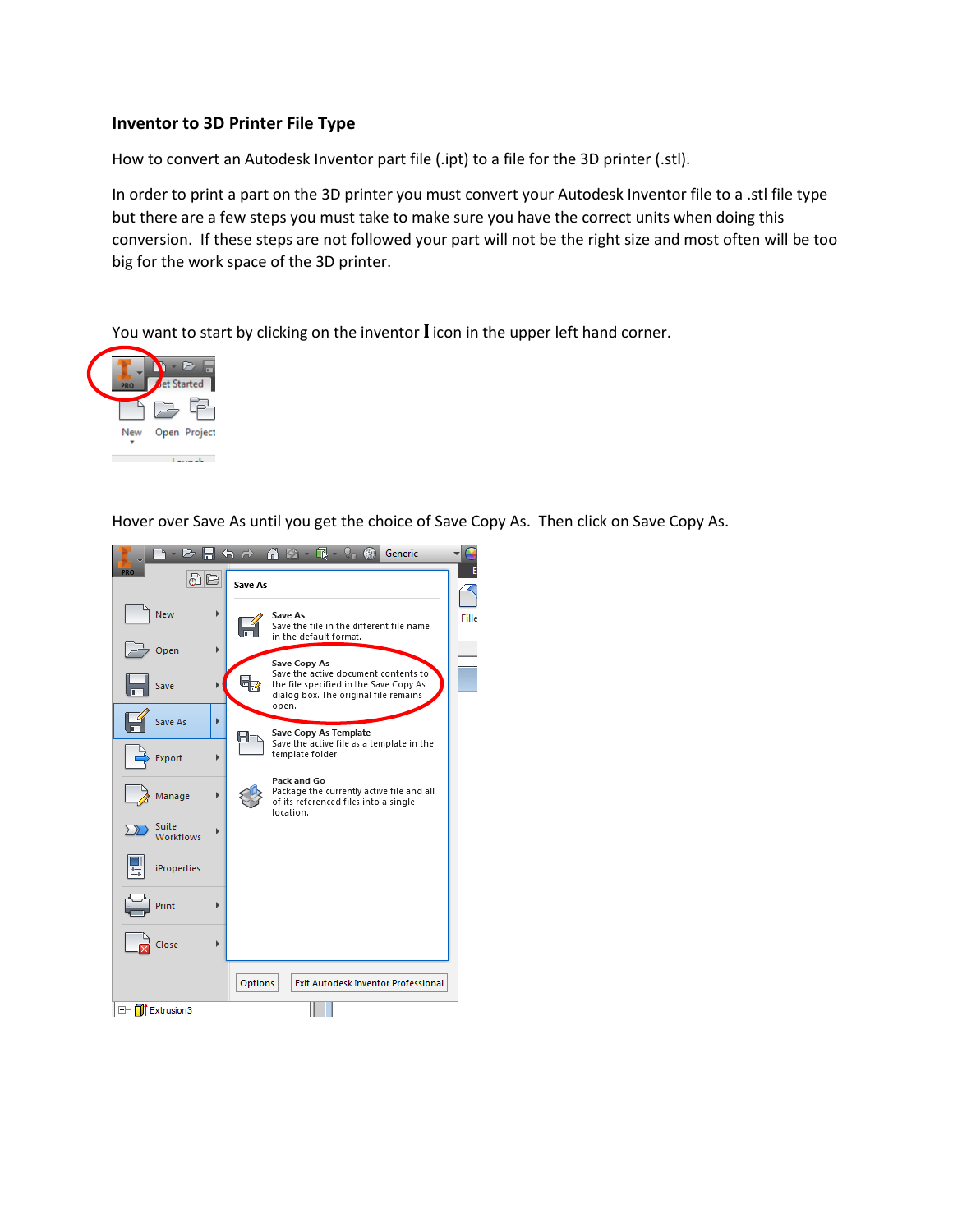## **Inventor to 3D Printer File Type**

How to convert an Autodesk Inventor part file (.ipt) to a file for the 3D printer (.stl).

In order to print a part on the 3D printer you must convert your Autodesk Inventor file to a .stl file type but there are a few steps you must take to make sure you have the correct units when doing this conversion. If these steps are not followed your part will not be the right size and most often will be too big for the work space of the 3D printer.

You want to start by clicking on the inventor **I** icon in the upper left hand corner.



Hover over Save As until you get the choice of Save Copy As. Then click on Save Copy As.

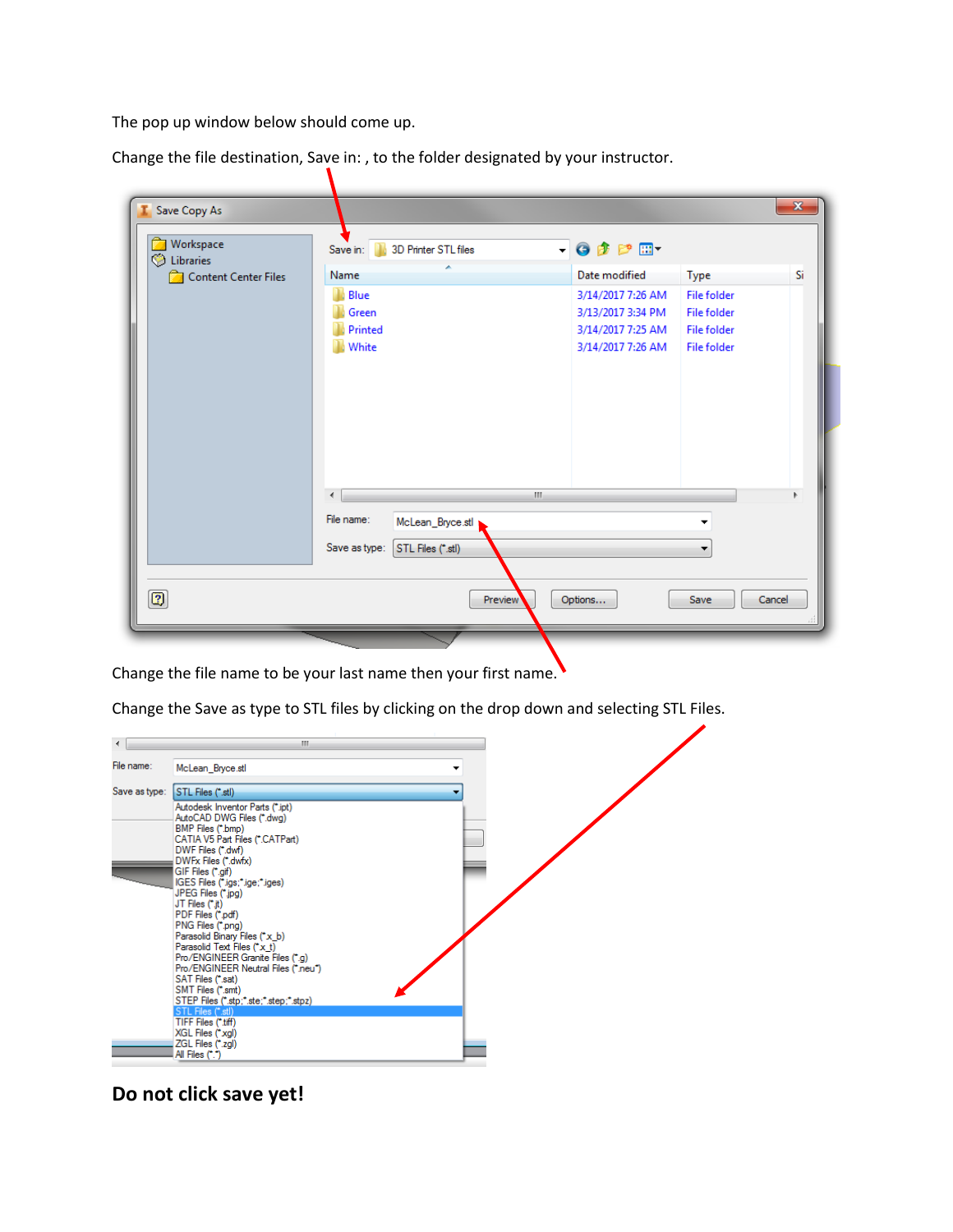The pop up window below should come up.

Change the file destination, Save in: , to the folder designated by your instructor.

| Workspace<br>C Libraries | 3D Printer STL files<br>Save in:   | $- 0 0 0 0$       |                    |        |
|--------------------------|------------------------------------|-------------------|--------------------|--------|
| Content Center Files     | Name                               | Date modified     | Type               | Si     |
|                          | Blue                               | 3/14/2017 7:26 AM | <b>File folder</b> |        |
|                          | Green                              | 3/13/2017 3:34 PM | <b>File folder</b> |        |
|                          | Printed                            | 3/14/2017 7:25 AM | <b>File folder</b> |        |
|                          | White                              | 3/14/2017 7:26 AM | <b>File folder</b> |        |
|                          | ∢                                  | $\mathbf{H}$ .    |                    |        |
|                          | File name:                         |                   |                    |        |
|                          | McLean_Bryce.stl                   |                   |                    |        |
|                          | Save as type:<br>STL Files (*.stl) |                   |                    |        |
| $\boxed{2}$              | Preview                            | Options           | Save               | Cancel |

Change the file name to be your last name then your first name.

Change the Save as type to STL files by clicking on the drop down and selecting STL Files.



**Do not click save yet!**